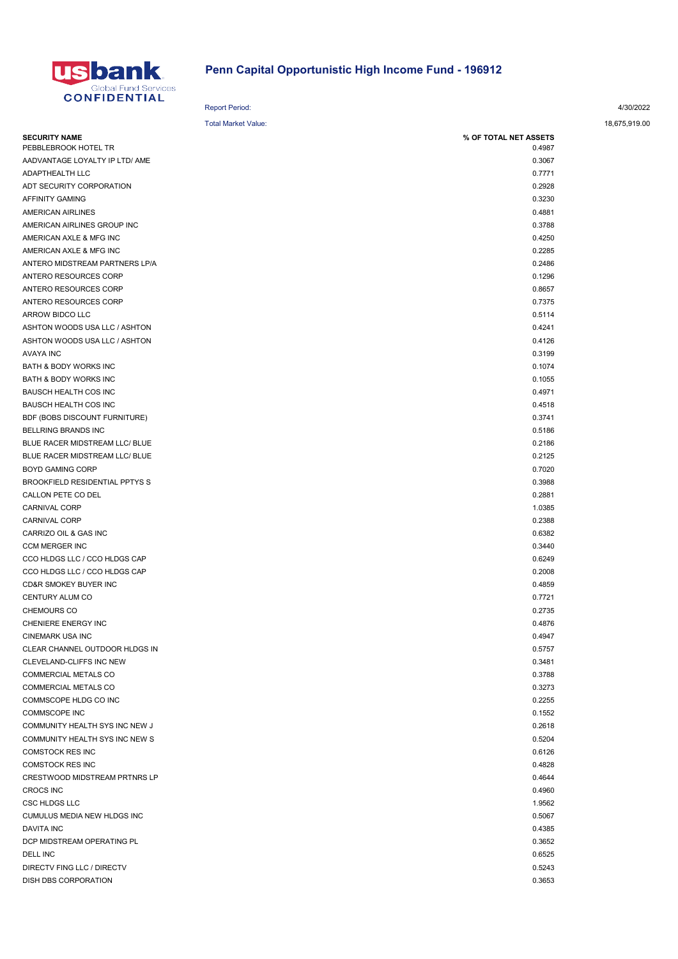

## Penn Capital Opportunistic High Income Fund - 196912

| <b>Report Period:</b> | 4/30/2022 |
|-----------------------|-----------|
|                       |           |
|                       |           |

| <b>Total Market Value:</b>            |                       | 18,675,919.00 |
|---------------------------------------|-----------------------|---------------|
| <b>SECURITY NAME</b>                  | % OF TOTAL NET ASSETS |               |
| PEBBLEBROOK HOTEL TR                  | 0.4987                |               |
| AADVANTAGE LOYALTY IP LTD/ AME        | 0.3067                |               |
| ADAPTHEALTH LLC                       | 0.7771                |               |
| ADT SECURITY CORPORATION              | 0.2928                |               |
| AFFINITY GAMING                       | 0.3230                |               |
| AMERICAN AIRLINES                     | 0.4881                |               |
| AMERICAN AIRLINES GROUP INC           | 0.3788                |               |
| AMERICAN AXLE & MFG INC               | 0.4250                |               |
| AMERICAN AXLE & MFG INC               | 0.2285                |               |
| ANTERO MIDSTREAM PARTNERS LP/A        | 0.2486                |               |
| ANTERO RESOURCES CORP                 | 0.1296                |               |
| ANTERO RESOURCES CORP                 | 0.8657                |               |
| ANTERO RESOURCES CORP                 | 0.7375                |               |
| ARROW BIDCO LLC                       | 0.5114                |               |
| ASHTON WOODS USA LLC / ASHTON         | 0.4241                |               |
| ASHTON WOODS USA LLC / ASHTON         | 0.4126                |               |
| <b>AVAYA INC</b>                      | 0.3199                |               |
| BATH & BODY WORKS INC                 | 0.1074                |               |
| BATH & BODY WORKS INC                 | 0.1055                |               |
| <b>BAUSCH HEALTH COS INC</b>          | 0.4971                |               |
| <b>BAUSCH HEALTH COS INC</b>          | 0.4518                |               |
| BDF (BOBS DISCOUNT FURNITURE)         | 0.3741                |               |
| <b>BELLRING BRANDS INC</b>            | 0.5186                |               |
| BLUE RACER MIDSTREAM LLC/ BLUE        | 0.2186                |               |
| BLUE RACER MIDSTREAM LLC/ BLUE        | 0.2125                |               |
| <b>BOYD GAMING CORP</b>               | 0.7020                |               |
| <b>BROOKFIELD RESIDENTIAL PPTYS S</b> | 0.3988                |               |
| CALLON PETE CO DEL                    | 0.2881                |               |
| CARNIVAL CORP                         | 1.0385                |               |
| CARNIVAL CORP                         | 0.2388                |               |
| CARRIZO OIL & GAS INC                 | 0.6382                |               |
| <b>CCM MERGER INC</b>                 | 0.3440                |               |
| CCO HLDGS LLC / CCO HLDGS CAP         | 0.6249                |               |
| CCO HLDGS LLC / CCO HLDGS CAP         | 0.2008                |               |
| <b>CD&amp;R SMOKEY BUYER INC</b>      | 0.4859                |               |
| CENTURY ALUM CO                       | 0.7721                |               |
| <b>CHEMOURS CO</b>                    | 0.2735                |               |
| CHENIERE ENERGY INC                   | 0.4876                |               |
| CINEMARK USA INC                      | 0.4947                |               |
| CLEAR CHANNEL OUTDOOR HLDGS IN        | 0.5757                |               |
| CLEVELAND-CLIFFS INC NEW              | 0.3481                |               |
| COMMERCIAL METALS CO                  | 0.3788                |               |
| COMMERCIAL METALS CO                  | 0.3273                |               |
| COMMSCOPE HLDG CO INC                 | 0.2255                |               |
| COMMSCOPE INC                         | 0.1552                |               |
| COMMUNITY HEALTH SYS INC NEW J        | 0.2618                |               |
| COMMUNITY HEALTH SYS INC NEW S        | 0.5204                |               |
| <b>COMSTOCK RES INC</b>               | 0.6126                |               |
| COMSTOCK RES INC                      | 0.4828                |               |
| CRESTWOOD MIDSTREAM PRTNRS LP         | 0.4644                |               |
| <b>CROCS INC</b>                      | 0.4960                |               |
| CSC HLDGS LLC                         | 1.9562                |               |
| CUMULUS MEDIA NEW HLDGS INC           | 0.5067                |               |
| <b>DAVITA INC</b>                     | 0.4385                |               |
| DCP MIDSTREAM OPERATING PL            | 0.3652                |               |
| DELL INC                              | 0.6525                |               |
|                                       |                       |               |
| DIRECTV FING LLC / DIRECTV            | 0.5243                |               |
| DISH DBS CORPORATION                  | 0.3653                |               |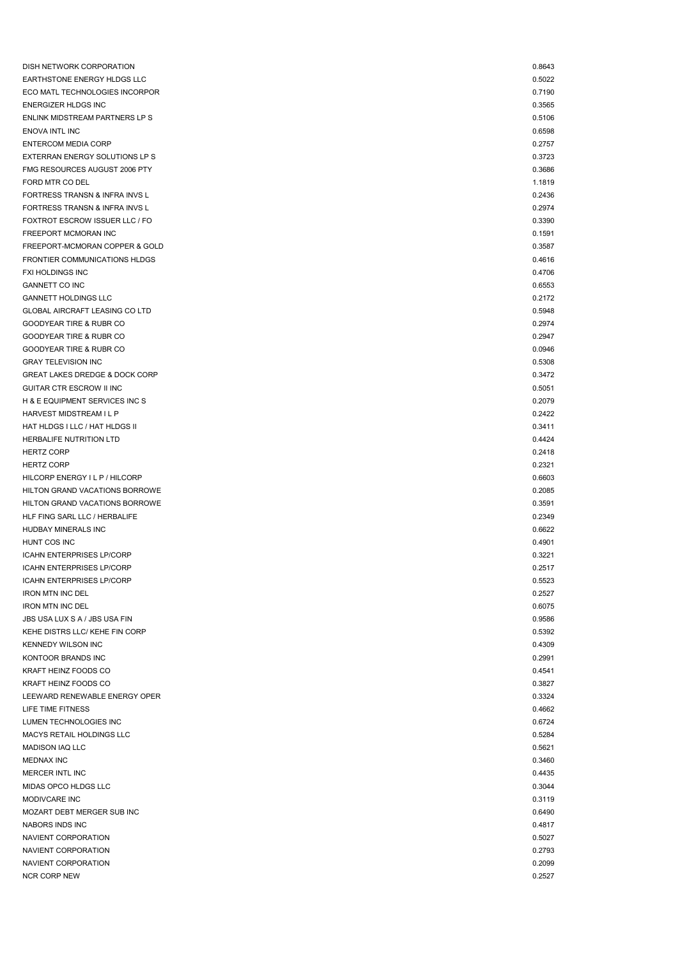| DISH NETWORK CORPORATION                  | 0.8643 |
|-------------------------------------------|--------|
| EARTHSTONE ENERGY HLDGS LLC               | 0.5022 |
| ECO MATL TECHNOLOGIES INCORPOR            | 0.7190 |
| ENERGIZER HLDGS INC                       | 0.3565 |
| ENLINK MIDSTREAM PARTNERS LP S            | 0.5106 |
| ENOVA INTL INC                            | 0.6598 |
| <b>ENTERCOM MEDIA CORP</b>                | 0.2757 |
| EXTERRAN ENERGY SOLUTIONS LP S            | 0.3723 |
| FMG RESOURCES AUGUST 2006 PTY             | 0.3686 |
| FORD MTR CO DEL                           | 1.1819 |
| FORTRESS TRANSN & INFRA INVS L            | 0.2436 |
| FORTRESS TRANSN & INFRA INVS L            | 0.2974 |
| FOXTROT ESCROW ISSUER LLC / FO            | 0.3390 |
| FREEPORT MCMORAN INC                      | 0.1591 |
| FREEPORT-MCMORAN COPPER & GOLD            | 0.3587 |
| FRONTIER COMMUNICATIONS HLDGS             | 0.4616 |
| FXI HOLDINGS INC                          | 0.4706 |
| <b>GANNETT CO INC</b>                     | 0.6553 |
| <b>GANNETT HOLDINGS LLC</b>               | 0.2172 |
| GLOBAL AIRCRAFT LEASING CO LTD            | 0.5948 |
| GOODYEAR TIRE & RUBR CO                   | 0.2974 |
| GOODYEAR TIRE & RUBR CO                   | 0.2947 |
| GOODYEAR TIRE & RUBR CO                   | 0.0946 |
| <b>GRAY TELEVISION INC</b>                | 0.5308 |
| <b>GREAT LAKES DREDGE &amp; DOCK CORP</b> | 0.3472 |
| GUITAR CTR ESCROW II INC                  | 0.5051 |
| H & E EQUIPMENT SERVICES INC S            | 0.2079 |
| HARVEST MIDSTREAM I L P                   | 0.2422 |
| HAT HLDGS I LLC / HAT HLDGS II            | 0.3411 |
| HERBALIFE NUTRITION LTD                   | 0.4424 |
| <b>HERTZ CORP</b>                         | 0.2418 |
| <b>HERTZ CORP</b>                         | 0.2321 |
| HILCORP ENERGY I L P / HILCORP            | 0.6603 |
| HILTON GRAND VACATIONS BORROWE            | 0.2085 |
| HILTON GRAND VACATIONS BORROWE            | 0.3591 |
| HLF FING SARL LLC / HERBALIFE             | 0.2349 |
| HUDBAY MINERALS INC                       | 0.6622 |
| HUNT COS INC                              | 0.4901 |
| <b>ICAHN ENTERPRISES LP/CORP</b>          | 0.3221 |
| <b>ICAHN ENTERPRISES LP/CORP</b>          | 0.2517 |
| <b>ICAHN ENTERPRISES LP/CORP</b>          | 0.5523 |
| <b>IRON MTN INC DEL</b>                   | 0.2527 |
| <b>IRON MTN INC DEL</b>                   | 0.6075 |
| JBS USA LUX S A / JBS USA FIN             | 0.9586 |
| KEHE DISTRS LLC/ KEHE FIN CORP            | 0.5392 |
| KENNEDY WILSON INC                        | 0.4309 |
| KONTOOR BRANDS INC                        | 0.2991 |
| KRAFT HEINZ FOODS CO                      | 0.4541 |
| KRAFT HEINZ FOODS CO                      | 0.3827 |
| LEEWARD RENEWABLE ENERGY OPER             | 0.3324 |
| LIFE TIME FITNESS                         | 0.4662 |
| LUMEN TECHNOLOGIES INC                    | 0.6724 |
| MACYS RETAIL HOLDINGS LLC                 | 0.5284 |
| <b>MADISON IAQ LLC</b>                    | 0.5621 |
| <b>MEDNAX INC</b>                         | 0.3460 |
| MERCER INTL INC                           | 0.4435 |
| MIDAS OPCO HLDGS LLC                      | 0.3044 |
| MODIVCARE INC                             | 0.3119 |
| MOZART DEBT MERGER SUB INC                | 0.6490 |
| NABORS INDS INC                           | 0.4817 |
| NAVIENT CORPORATION                       | 0.5027 |
| NAVIENT CORPORATION                       | 0.2793 |
| NAVIENT CORPORATION                       | 0.2099 |
| <b>NCR CORP NEW</b>                       | 0.2527 |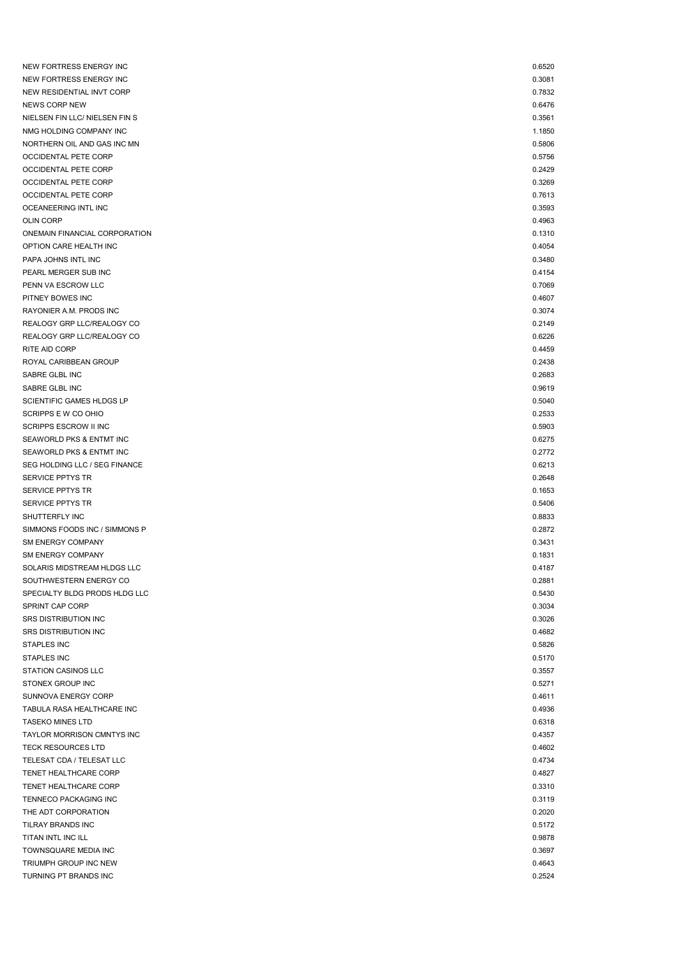| NEW FORTRESS ENERGY INC                        | 0.6520           |
|------------------------------------------------|------------------|
| NEW FORTRESS ENERGY INC                        | 0.3081           |
| NEW RESIDENTIAL INVT CORP                      | 0.7832           |
| <b>NEWS CORP NEW</b>                           | 0.6476           |
| NIELSEN FIN LLC/ NIELSEN FIN S                 | 0.3561           |
| NMG HOLDING COMPANY INC                        | 1.1850           |
| NORTHERN OIL AND GAS INC MN                    | 0.5806           |
| OCCIDENTAL PETE CORP                           | 0.5756           |
| OCCIDENTAL PETE CORP                           | 0.2429           |
| OCCIDENTAL PETE CORP                           | 0.3269           |
| <b>OCCIDENTAL PETE CORP</b>                    | 0.7613           |
| OCEANEERING INTL INC                           | 0.3593           |
| <b>OLIN CORP</b>                               | 0.4963           |
| ONEMAIN FINANCIAL CORPORATION                  | 0.1310           |
| OPTION CARE HEALTH INC                         | 0.4054           |
| PAPA JOHNS INTL INC                            | 0.3480           |
| PEARL MERGER SUB INC                           | 0.4154           |
| PENN VA ESCROW LLC                             | 0.7069           |
| PITNEY BOWES INC                               | 0.4607           |
| RAYONIER A.M. PRODS INC                        | 0.3074           |
| REALOGY GRP LLC/REALOGY CO                     | 0.2149           |
| REALOGY GRP LLC/REALOGY CO                     | 0.6226           |
| RITE AID CORP                                  | 0.4459           |
| ROYAL CARIBBEAN GROUP                          | 0.2438           |
| SABRE GLBL INC                                 | 0.2683           |
| SABRE GLBL INC                                 | 0.9619           |
| SCIENTIFIC GAMES HLDGS LP                      | 0.5040           |
| SCRIPPS E W CO OHIO                            | 0.2533           |
| <b>SCRIPPS ESCROW II INC</b>                   | 0.5903           |
| SEAWORLD PKS & ENTMT INC                       | 0.6275           |
| SEAWORLD PKS & ENTMT INC                       | 0.2772           |
| SEG HOLDING LLC / SEG FINANCE                  | 0.6213           |
| SERVICE PPTYS TR                               | 0.2648           |
| SERVICE PPTYS TR                               | 0.1653           |
| SERVICE PPTYS TR                               | 0.5406           |
| SHUTTERFLY INC                                 | 0.8833           |
| SIMMONS FOODS INC / SIMMONS P                  | 0.2872           |
| <b>SM ENERGY COMPANY</b>                       | 0.3431           |
| SM ENERGY COMPANY                              | 0.1831           |
| SOLARIS MIDSTREAM HLDGS LLC                    | 0.4187           |
| SOUTHWESTERN ENERGY CO                         | 0.2881           |
| SPECIALTY BLDG PRODS HLDG LLC                  | 0.5430           |
| SPRINT CAP CORP                                | 0.3034           |
| SRS DISTRIBUTION INC                           | 0.3026           |
| SRS DISTRIBUTION INC                           | 0.4682           |
| STAPLES INC                                    | 0.5826           |
| <b>STAPLES INC</b>                             | 0.5170           |
| STATION CASINOS LLC                            | 0.3557           |
| STONEX GROUP INC                               | 0.5271           |
| SUNNOVA ENERGY CORP                            | 0.4611           |
| TABULA RASA HEALTHCARE INC                     | 0.4936           |
| <b>TASEKO MINES LTD</b>                        | 0.6318           |
| TAYLOR MORRISON CMNTYS INC                     | 0.4357           |
| <b>TECK RESOURCES LTD</b>                      | 0.4602           |
| TELESAT CDA / TELESAT LLC                      | 0.4734           |
| TENET HEALTHCARE CORP                          | 0.4827           |
| TENET HEALTHCARE CORP                          | 0.3310           |
| TENNECO PACKAGING INC                          | 0.3119           |
| THE ADT CORPORATION                            | 0.2020           |
| TILRAY BRANDS INC                              | 0.5172           |
| TITAN INTL INC ILL                             | 0.9878           |
| TOWNSQUARE MEDIA INC                           |                  |
|                                                | 0.3697           |
| TRIUMPH GROUP INC NEW<br>TURNING PT BRANDS INC | 0.4643<br>0.2524 |